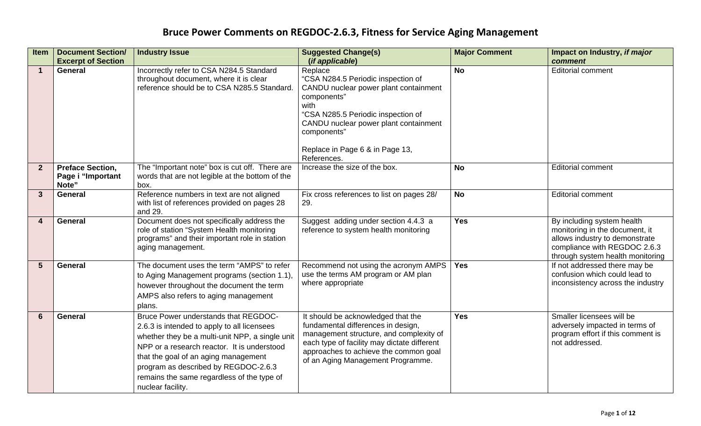| Item           | <b>Document Section/</b><br><b>Excerpt of Section</b> | <b>Industry Issue</b>                                                                                                                                                                                                                                                                                                                    | <b>Suggested Change(s)</b><br>(if applicable)                                                                                                                                                                                                                 | <b>Major Comment</b> | Impact on Industry, if major<br>comment                                                                                                                            |
|----------------|-------------------------------------------------------|------------------------------------------------------------------------------------------------------------------------------------------------------------------------------------------------------------------------------------------------------------------------------------------------------------------------------------------|---------------------------------------------------------------------------------------------------------------------------------------------------------------------------------------------------------------------------------------------------------------|----------------------|--------------------------------------------------------------------------------------------------------------------------------------------------------------------|
| $\mathbf 1$    | <b>General</b>                                        | Incorrectly refer to CSA N284.5 Standard<br>throughout document, where it is clear<br>reference should be to CSA N285.5 Standard.                                                                                                                                                                                                        | Replace<br>"CSA N284.5 Periodic inspection of<br>CANDU nuclear power plant containment<br>components"<br>with<br>"CSA N285.5 Periodic inspection of<br>CANDU nuclear power plant containment<br>components"<br>Replace in Page 6 & in Page 13,<br>References. | <b>No</b>            | <b>Editorial comment</b>                                                                                                                                           |
| $\overline{2}$ | <b>Preface Section,</b><br>Page i "Important<br>Note" | The "Important note" box is cut off. There are<br>words that are not legible at the bottom of the<br>box.                                                                                                                                                                                                                                | Increase the size of the box.                                                                                                                                                                                                                                 | <b>No</b>            | <b>Editorial comment</b>                                                                                                                                           |
| $\overline{3}$ | <b>General</b>                                        | Reference numbers in text are not aligned<br>with list of references provided on pages 28<br>and 29.                                                                                                                                                                                                                                     | Fix cross references to list on pages 28/<br>29.                                                                                                                                                                                                              | <b>No</b>            | <b>Editorial comment</b>                                                                                                                                           |
|                | <b>General</b>                                        | Document does not specifically address the<br>role of station "System Health monitoring<br>programs" and their important role in station<br>aging management.                                                                                                                                                                            | Suggest adding under section 4.4.3 a<br>reference to system health monitoring                                                                                                                                                                                 | <b>Yes</b>           | By including system health<br>monitoring in the document, it<br>allows industry to demonstrate<br>compliance with REGDOC 2.6.3<br>through system health monitoring |
| 5              | <b>General</b>                                        | The document uses the term "AMPS" to refer<br>to Aging Management programs (section 1.1),<br>however throughout the document the term<br>AMPS also refers to aging management<br>plans.                                                                                                                                                  | Recommend not using the acronym AMPS<br>use the terms AM program or AM plan<br>where appropriate                                                                                                                                                              | <b>Yes</b>           | If not addressed there may be<br>confusion which could lead to<br>inconsistency across the industry                                                                |
| 6              | <b>General</b>                                        | Bruce Power understands that REGDOC-<br>2.6.3 is intended to apply to all licensees<br>whether they be a multi-unit NPP, a single unit<br>NPP or a research reactor. It is understood<br>that the goal of an aging management<br>program as described by REGDOC-2.6.3<br>remains the same regardless of the type of<br>nuclear facility. | It should be acknowledged that the<br>fundamental differences in design,<br>management structure, and complexity of<br>each type of facility may dictate different<br>approaches to achieve the common goal<br>of an Aging Management Programme.              | <b>Yes</b>           | Smaller licensees will be<br>adversely impacted in terms of<br>program effort if this comment is<br>not addressed.                                                 |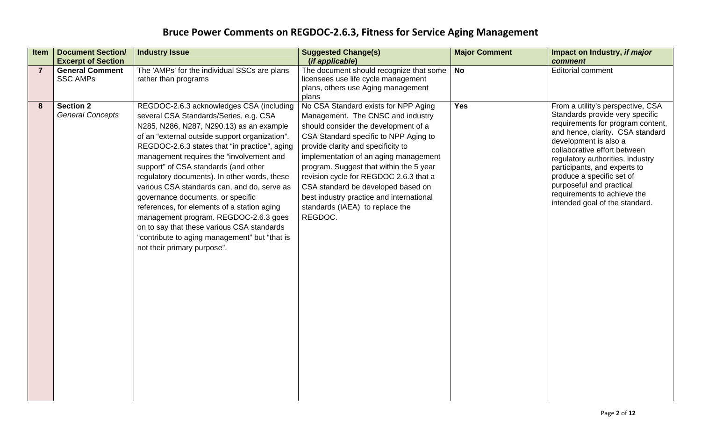| <b>Item</b>    | <b>Document Section/</b><br><b>Excerpt of Section</b> | <b>Industry Issue</b>                                                                                                                                                                                                                                                                                                                                                                                                                                                                                                                                                                                                                                                           | <b>Suggested Change(s)</b><br>(if applicable)                                                                                                                                                                                                                                                                                                                                                                                                                  | <b>Major Comment</b> | Impact on Industry, if major<br>comment                                                                                                                                                                                                                                                                                                                                                              |
|----------------|-------------------------------------------------------|---------------------------------------------------------------------------------------------------------------------------------------------------------------------------------------------------------------------------------------------------------------------------------------------------------------------------------------------------------------------------------------------------------------------------------------------------------------------------------------------------------------------------------------------------------------------------------------------------------------------------------------------------------------------------------|----------------------------------------------------------------------------------------------------------------------------------------------------------------------------------------------------------------------------------------------------------------------------------------------------------------------------------------------------------------------------------------------------------------------------------------------------------------|----------------------|------------------------------------------------------------------------------------------------------------------------------------------------------------------------------------------------------------------------------------------------------------------------------------------------------------------------------------------------------------------------------------------------------|
| $\overline{7}$ | <b>General Comment</b><br><b>SSC AMPs</b>             | The 'AMPs' for the individual SSCs are plans<br>rather than programs                                                                                                                                                                                                                                                                                                                                                                                                                                                                                                                                                                                                            | The document should recognize that some $\vert$ No<br>licensees use life cycle management<br>plans, others use Aging management<br>plans                                                                                                                                                                                                                                                                                                                       |                      | <b>Editorial comment</b>                                                                                                                                                                                                                                                                                                                                                                             |
| 8              | <b>Section 2</b><br><b>General Concepts</b>           | REGDOC-2.6.3 acknowledges CSA (including<br>several CSA Standards/Series, e.g. CSA<br>N285, N286, N287, N290.13) as an example<br>of an "external outside support organization".<br>REGDOC-2.6.3 states that "in practice", aging<br>management requires the "involvement and<br>support" of CSA standards (and other<br>regulatory documents). In other words, these<br>various CSA standards can, and do, serve as<br>governance documents, or specific<br>references, for elements of a station aging<br>management program. REGDOC-2.6.3 goes<br>on to say that these various CSA standards<br>"contribute to aging management" but "that is<br>not their primary purpose". | No CSA Standard exists for NPP Aging<br>Management. The CNSC and industry<br>should consider the development of a<br>CSA Standard specific to NPP Aging to<br>provide clarity and specificity to<br>implementation of an aging management<br>program. Suggest that within the 5 year<br>revision cycle for REGDOC 2.6.3 that a<br>CSA standard be developed based on<br>best industry practice and international<br>standards (IAEA) to replace the<br>REGDOC. | <b>Yes</b>           | From a utility's perspective, CSA<br>Standards provide very specific<br>requirements for program content,<br>and hence, clarity. CSA standard<br>development is also a<br>collaborative effort between<br>regulatory authorities, industry<br>participants, and experts to<br>produce a specific set of<br>purposeful and practical<br>requirements to achieve the<br>intended goal of the standard. |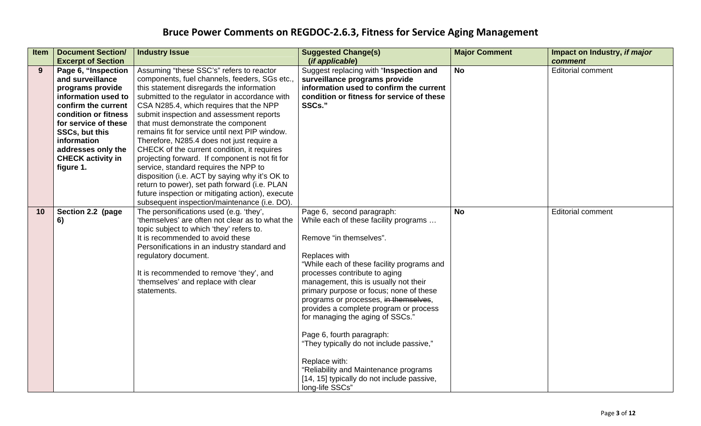| Item | <b>Document Section/</b><br><b>Excerpt of Section</b>                                                                                                                                                                                                     | <b>Industry Issue</b>                                                                                                                                                                                                                                                                                                                                                                                                                                                                                                                                                                                                                                                                                                                                                  | <b>Suggested Change(s)</b><br>(if applicable)                                                                                                                                                                                                                                                                                                                                                                                                                                                                                                                                                                | <b>Major Comment</b> | Impact on Industry, if major<br>comment |
|------|-----------------------------------------------------------------------------------------------------------------------------------------------------------------------------------------------------------------------------------------------------------|------------------------------------------------------------------------------------------------------------------------------------------------------------------------------------------------------------------------------------------------------------------------------------------------------------------------------------------------------------------------------------------------------------------------------------------------------------------------------------------------------------------------------------------------------------------------------------------------------------------------------------------------------------------------------------------------------------------------------------------------------------------------|--------------------------------------------------------------------------------------------------------------------------------------------------------------------------------------------------------------------------------------------------------------------------------------------------------------------------------------------------------------------------------------------------------------------------------------------------------------------------------------------------------------------------------------------------------------------------------------------------------------|----------------------|-----------------------------------------|
| 9    | Page 6, "Inspection<br>and surveillance<br>programs provide<br>information used to<br>confirm the current<br>condition or fitness<br>for service of these<br>SSCs, but this<br>information<br>addresses only the<br><b>CHECK activity in</b><br>figure 1. | Assuming "these SSC's" refers to reactor<br>components, fuel channels, feeders, SGs etc.,<br>this statement disregards the information<br>submitted to the regulator in accordance with<br>CSA N285.4, which requires that the NPP<br>submit inspection and assessment reports<br>that must demonstrate the component<br>remains fit for service until next PIP window.<br>Therefore, N285.4 does not just require a<br>CHECK of the current condition, it requires<br>projecting forward. If component is not fit for<br>service, standard requires the NPP to<br>disposition (i.e. ACT by saying why it's OK to<br>return to power), set path forward (i.e. PLAN<br>future inspection or mitigating action), execute<br>subsequent inspection/maintenance (i.e. DO). | Suggest replacing with "Inspection and<br>surveillance programs provide<br>information used to confirm the current<br>condition or fitness for service of these<br>SSCs."                                                                                                                                                                                                                                                                                                                                                                                                                                    | <b>No</b>            | <b>Editorial comment</b>                |
| 10   | Section 2.2 (page<br>6)                                                                                                                                                                                                                                   | The personifications used (e.g. 'they',<br>'themselves' are often not clear as to what the<br>topic subject to which 'they' refers to.<br>It is recommended to avoid these<br>Personifications in an industry standard and<br>regulatory document.<br>It is recommended to remove 'they', and<br>'themselves' and replace with clear<br>statements.                                                                                                                                                                                                                                                                                                                                                                                                                    | Page 6, second paragraph:<br>While each of these facility programs<br>Remove "in themselves".<br>Replaces with<br>"While each of these facility programs and<br>processes contribute to aging<br>management, this is usually not their<br>primary purpose or focus; none of these<br>programs or processes, in themselves,<br>provides a complete program or process<br>for managing the aging of SSCs."<br>Page 6, fourth paragraph:<br>"They typically do not include passive,"<br>Replace with:<br>"Reliability and Maintenance programs<br>[14, 15] typically do not include passive,<br>long-life SSCs" | <b>No</b>            | <b>Editorial comment</b>                |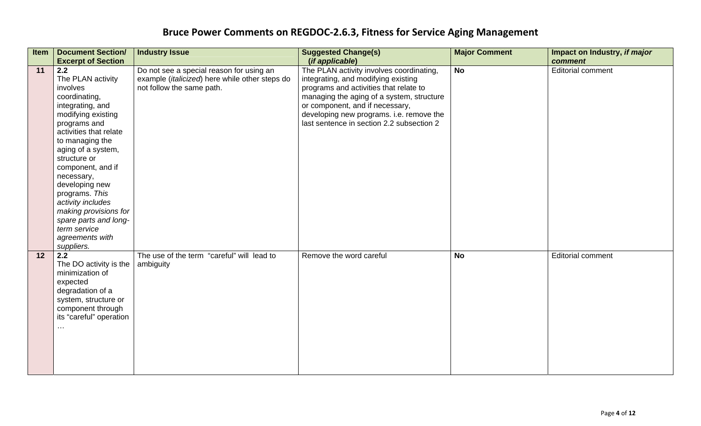| Item | <b>Document Section/</b>                   | <b>Industry Issue</b>                          | <b>Suggested Change(s)</b>                | <b>Major Comment</b> | Impact on Industry, if major |
|------|--------------------------------------------|------------------------------------------------|-------------------------------------------|----------------------|------------------------------|
|      | <b>Excerpt of Section</b>                  |                                                | (if applicable)                           |                      | comment                      |
| 11   | 2.2                                        | Do not see a special reason for using an       | The PLAN activity involves coordinating,  | <b>No</b>            | <b>Editorial comment</b>     |
|      | The PLAN activity                          | example (italicized) here while other steps do | integrating, and modifying existing       |                      |                              |
|      | involves                                   | not follow the same path.                      | programs and activities that relate to    |                      |                              |
|      | coordinating,                              |                                                | managing the aging of a system, structure |                      |                              |
|      | integrating, and                           |                                                | or component, and if necessary,           |                      |                              |
|      | modifying existing                         |                                                | developing new programs. i.e. remove the  |                      |                              |
|      | programs and                               |                                                | last sentence in section 2.2 subsection 2 |                      |                              |
|      | activities that relate                     |                                                |                                           |                      |                              |
|      | to managing the                            |                                                |                                           |                      |                              |
|      | aging of a system,                         |                                                |                                           |                      |                              |
|      | structure or                               |                                                |                                           |                      |                              |
|      | component, and if                          |                                                |                                           |                      |                              |
|      | necessary,                                 |                                                |                                           |                      |                              |
|      | developing new                             |                                                |                                           |                      |                              |
|      | programs. This                             |                                                |                                           |                      |                              |
|      | activity includes<br>making provisions for |                                                |                                           |                      |                              |
|      | spare parts and long-                      |                                                |                                           |                      |                              |
|      | term service                               |                                                |                                           |                      |                              |
|      | agreements with                            |                                                |                                           |                      |                              |
|      | suppliers.                                 |                                                |                                           |                      |                              |
| 12   | 2.2                                        | The use of the term "careful" will lead to     | Remove the word careful                   | <b>No</b>            | <b>Editorial comment</b>     |
|      | The DO activity is the                     | ambiguity                                      |                                           |                      |                              |
|      | minimization of                            |                                                |                                           |                      |                              |
|      | expected                                   |                                                |                                           |                      |                              |
|      | degradation of a                           |                                                |                                           |                      |                              |
|      | system, structure or                       |                                                |                                           |                      |                              |
|      | component through                          |                                                |                                           |                      |                              |
|      | its "careful" operation                    |                                                |                                           |                      |                              |
|      | $\sim$ $\sim$                              |                                                |                                           |                      |                              |
|      |                                            |                                                |                                           |                      |                              |
|      |                                            |                                                |                                           |                      |                              |
|      |                                            |                                                |                                           |                      |                              |
|      |                                            |                                                |                                           |                      |                              |
|      |                                            |                                                |                                           |                      |                              |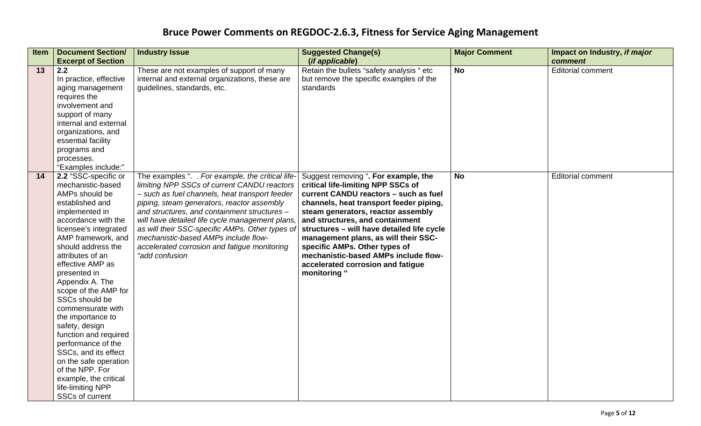| <b>Item</b> | <b>Document Section/</b><br><b>Excerpt of Section</b>                                                                                                                                                                                                                                                                                                                                                                                                                                                                                                             | <b>Industry Issue</b>                                                                                                                                                                                                                                                                                                                                                                                                                                            | <b>Suggested Change(s)</b><br>(if applicable)                                                                                                                                                                                                                                                                                                                                                                                                               | <b>Major Comment</b> | Impact on Industry, if major<br>comment |
|-------------|-------------------------------------------------------------------------------------------------------------------------------------------------------------------------------------------------------------------------------------------------------------------------------------------------------------------------------------------------------------------------------------------------------------------------------------------------------------------------------------------------------------------------------------------------------------------|------------------------------------------------------------------------------------------------------------------------------------------------------------------------------------------------------------------------------------------------------------------------------------------------------------------------------------------------------------------------------------------------------------------------------------------------------------------|-------------------------------------------------------------------------------------------------------------------------------------------------------------------------------------------------------------------------------------------------------------------------------------------------------------------------------------------------------------------------------------------------------------------------------------------------------------|----------------------|-----------------------------------------|
| 13          | 2.2<br>In practice, effective<br>aging management<br>requires the<br>involvement and<br>support of many<br>internal and external<br>organizations, and<br>essential facility<br>programs and<br>processes.<br>"Examples include:"                                                                                                                                                                                                                                                                                                                                 | These are not examples of support of many<br>internal and external organizations, these are<br>guidelines, standards, etc.                                                                                                                                                                                                                                                                                                                                       | Retain the bullets "safety analysis " etc<br>but remove the specific examples of the<br>standards                                                                                                                                                                                                                                                                                                                                                           | <b>No</b>            | <b>Editorial comment</b>                |
| 14          | 2.2 "SSC-specific or<br>mechanistic-based<br>AMPs should be<br>established and<br>implemented in<br>accordance with the<br>licensee's integrated<br>AMP framework, and<br>should address the<br>attributes of an<br>effective AMP as<br>presented in<br>Appendix A. The<br>scope of the AMP for<br>SSCs should be<br>commensurate with<br>the importance to<br>safety, design<br>function and required<br>performance of the<br>SSCs, and its effect<br>on the safe operation<br>of the NPP. For<br>example, the critical<br>life-limiting NPP<br>SSCs of current | The examples ". . For example, the critical life-<br>limiting NPP SSCs of current CANDU reactors<br>- such as fuel channels, heat transport feeder<br>piping, steam generators, reactor assembly<br>and structures, and containment structures -<br>will have detailed life cycle management plans,<br>as will their SSC-specific AMPs. Other types of<br>mechanistic-based AMPs include flow-<br>accelerated corrosion and fatigue monitoring<br>"add confusion | Suggest removing ". For example, the<br>critical life-limiting NPP SSCs of<br>current CANDU reactors - such as fuel<br>channels, heat transport feeder piping,<br>steam generators, reactor assembly<br>and structures, and containment<br>structures - will have detailed life cycle<br>management plans, as will their SSC-<br>specific AMPs. Other types of<br>mechanistic-based AMPs include flow-<br>accelerated corrosion and fatigue<br>monitoring " | <b>No</b>            | <b>Editorial comment</b>                |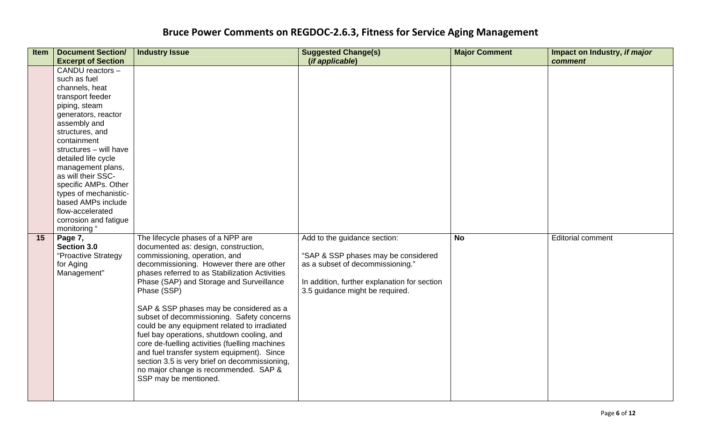| <b>Item</b> | <b>Document Section/</b><br><b>Excerpt of Section</b>                                                                                                                                                                                                                                                                                                                                            | <b>Industry Issue</b>                                                                                                                                                                                                                                                                                                                                                                                                                                                                                                                                                                                                                                                         | <b>Suggested Change(s)</b><br>(if applicable)                                                                                                                                              | <b>Major Comment</b> | Impact on Industry, if major<br>comment |
|-------------|--------------------------------------------------------------------------------------------------------------------------------------------------------------------------------------------------------------------------------------------------------------------------------------------------------------------------------------------------------------------------------------------------|-------------------------------------------------------------------------------------------------------------------------------------------------------------------------------------------------------------------------------------------------------------------------------------------------------------------------------------------------------------------------------------------------------------------------------------------------------------------------------------------------------------------------------------------------------------------------------------------------------------------------------------------------------------------------------|--------------------------------------------------------------------------------------------------------------------------------------------------------------------------------------------|----------------------|-----------------------------------------|
|             | CANDU reactors -<br>such as fuel<br>channels, heat<br>transport feeder<br>piping, steam<br>generators, reactor<br>assembly and<br>structures, and<br>containment<br>structures - will have<br>detailed life cycle<br>management plans,<br>as will their SSC-<br>specific AMPs. Other<br>types of mechanistic-<br>based AMPs include<br>flow-accelerated<br>corrosion and fatigue<br>monitoring " |                                                                                                                                                                                                                                                                                                                                                                                                                                                                                                                                                                                                                                                                               |                                                                                                                                                                                            |                      |                                         |
| 15          | Page 7,<br>Section 3.0<br>"Proactive Strategy<br>for Aging<br>Management"                                                                                                                                                                                                                                                                                                                        | The lifecycle phases of a NPP are<br>documented as: design, construction,<br>commissioning, operation, and<br>decommissioning. However there are other<br>phases referred to as Stabilization Activities<br>Phase (SAP) and Storage and Surveillance<br>Phase (SSP)<br>SAP & SSP phases may be considered as a<br>subset of decommissioning. Safety concerns<br>could be any equipment related to irradiated<br>fuel bay operations, shutdown cooling, and<br>core de-fuelling activities (fuelling machines<br>and fuel transfer system equipment). Since<br>section 3.5 is very brief on decommissioning,<br>no major change is recommended. SAP &<br>SSP may be mentioned. | Add to the guidance section:<br>"SAP & SSP phases may be considered<br>as a subset of decommissioning."<br>In addition, further explanation for section<br>3.5 guidance might be required. | <b>No</b>            | <b>Editorial comment</b>                |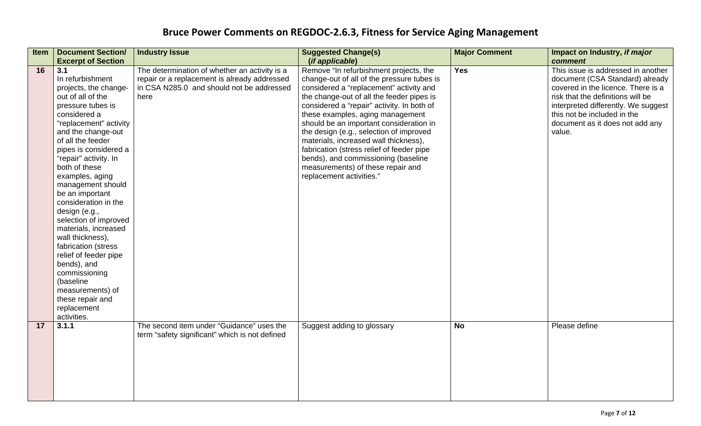| <b>Item</b> | <b>Document Section/</b>  | <b>Industry Issue</b>                          | <b>Suggested Change(s)</b>                 | <b>Major Comment</b> | Impact on Industry, if major        |
|-------------|---------------------------|------------------------------------------------|--------------------------------------------|----------------------|-------------------------------------|
|             | <b>Excerpt of Section</b> |                                                | (if applicable)                            |                      | comment                             |
| 16          | 3.1                       | The determination of whether an activity is a  | Remove "In refurbishment projects, the     | <b>Yes</b>           | This issue is addressed in another  |
|             | In refurbishment          | repair or a replacement is already addressed   | change-out of all of the pressure tubes is |                      | document (CSA Standard) already     |
|             | projects, the change-     | in CSA N285.0 and should not be addressed      | considered a "replacement" activity and    |                      | covered in the licence. There is a  |
|             | out of all of the         | here                                           | the change-out of all the feeder pipes is  |                      | risk that the definitions will be   |
|             | pressure tubes is         |                                                | considered a "repair" activity. In both of |                      | interpreted differently. We suggest |
|             | considered a              |                                                | these examples, aging management           |                      | this not be included in the         |
|             | "replacement" activity    |                                                | should be an important consideration in    |                      | document as it does not add any     |
|             | and the change-out        |                                                | the design (e.g., selection of improved    |                      | value.                              |
|             | of all the feeder         |                                                | materials, increased wall thickness),      |                      |                                     |
|             | pipes is considered a     |                                                | fabrication (stress relief of feeder pipe  |                      |                                     |
|             | "repair" activity. In     |                                                | bends), and commissioning (baseline        |                      |                                     |
|             | both of these             |                                                | measurements) of these repair and          |                      |                                     |
|             | examples, aging           |                                                | replacement activities."                   |                      |                                     |
|             | management should         |                                                |                                            |                      |                                     |
|             | be an important           |                                                |                                            |                      |                                     |
|             | consideration in the      |                                                |                                            |                      |                                     |
|             | design (e.g.,             |                                                |                                            |                      |                                     |
|             | selection of improved     |                                                |                                            |                      |                                     |
|             | materials, increased      |                                                |                                            |                      |                                     |
|             | wall thickness),          |                                                |                                            |                      |                                     |
|             | fabrication (stress       |                                                |                                            |                      |                                     |
|             | relief of feeder pipe     |                                                |                                            |                      |                                     |
|             | bends), and               |                                                |                                            |                      |                                     |
|             | commissioning             |                                                |                                            |                      |                                     |
|             | (baseline                 |                                                |                                            |                      |                                     |
|             | measurements) of          |                                                |                                            |                      |                                     |
|             | these repair and          |                                                |                                            |                      |                                     |
|             | replacement               |                                                |                                            |                      |                                     |
|             | activities.               |                                                |                                            |                      |                                     |
| 17          | 3.1.1                     | The second item under "Guidance" uses the      | Suggest adding to glossary                 | <b>No</b>            | Please define                       |
|             |                           | term "safety significant" which is not defined |                                            |                      |                                     |
|             |                           |                                                |                                            |                      |                                     |
|             |                           |                                                |                                            |                      |                                     |
|             |                           |                                                |                                            |                      |                                     |
|             |                           |                                                |                                            |                      |                                     |
|             |                           |                                                |                                            |                      |                                     |
|             |                           |                                                |                                            |                      |                                     |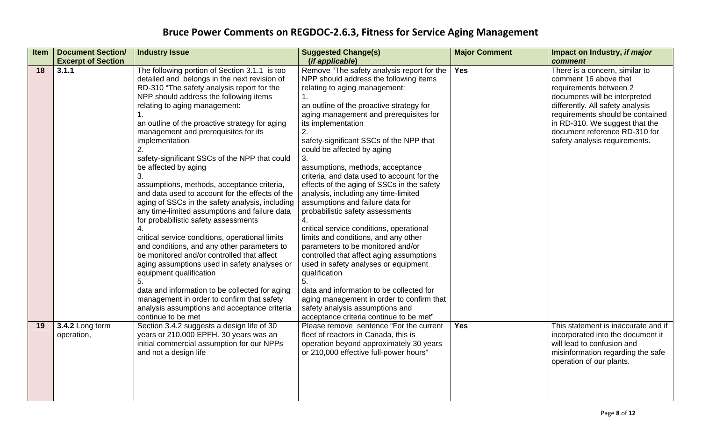| <b>Item</b> | <b>Document Section/</b><br><b>Excerpt of Section</b> | <b>Industry Issue</b>                                                                                                                                                                                                                                                                                                                                                                                                                                                                                                                                                                                                                                                                                                                                                                                                                                                                                                                                                                                                                                                             | <b>Suggested Change(s)</b><br>(if applicable)                                                                                                                                                                                                                                                                                                                                                                                                                                                                                                                                                                                                                                                                                                                                                                                                                                                                                                                                                             | <b>Major Comment</b> | Impact on Industry, if major<br>comment                                                                                                                                                                                                                                                        |
|-------------|-------------------------------------------------------|-----------------------------------------------------------------------------------------------------------------------------------------------------------------------------------------------------------------------------------------------------------------------------------------------------------------------------------------------------------------------------------------------------------------------------------------------------------------------------------------------------------------------------------------------------------------------------------------------------------------------------------------------------------------------------------------------------------------------------------------------------------------------------------------------------------------------------------------------------------------------------------------------------------------------------------------------------------------------------------------------------------------------------------------------------------------------------------|-----------------------------------------------------------------------------------------------------------------------------------------------------------------------------------------------------------------------------------------------------------------------------------------------------------------------------------------------------------------------------------------------------------------------------------------------------------------------------------------------------------------------------------------------------------------------------------------------------------------------------------------------------------------------------------------------------------------------------------------------------------------------------------------------------------------------------------------------------------------------------------------------------------------------------------------------------------------------------------------------------------|----------------------|------------------------------------------------------------------------------------------------------------------------------------------------------------------------------------------------------------------------------------------------------------------------------------------------|
| 18          | 3.1.1                                                 | The following portion of Section 3.1.1 is too<br>detailed and belongs in the next revision of<br>RD-310 "The safety analysis report for the<br>NPP should address the following items<br>relating to aging management:<br>an outline of the proactive strategy for aging<br>management and prerequisites for its<br>implementation<br>2.<br>safety-significant SSCs of the NPP that could<br>be affected by aging<br>3.<br>assumptions, methods, acceptance criteria,<br>and data used to account for the effects of the<br>aging of SSCs in the safety analysis, including<br>any time-limited assumptions and failure data<br>for probabilistic safety assessments<br>4.<br>critical service conditions, operational limits<br>and conditions, and any other parameters to<br>be monitored and/or controlled that affect<br>aging assumptions used in safety analyses or<br>equipment qualification<br>5.<br>data and information to be collected for aging<br>management in order to confirm that safety<br>analysis assumptions and acceptance criteria<br>continue to be met | Remove "The safety analysis report for the<br>NPP should address the following items<br>relating to aging management:<br>$\mathbf{1}$ .<br>an outline of the proactive strategy for<br>aging management and prerequisites for<br>its implementation<br>2.<br>safety-significant SSCs of the NPP that<br>could be affected by aging<br>3.<br>assumptions, methods, acceptance<br>criteria, and data used to account for the<br>effects of the aging of SSCs in the safety<br>analysis, including any time-limited<br>assumptions and failure data for<br>probabilistic safety assessments<br>4.<br>critical service conditions, operational<br>limits and conditions, and any other<br>parameters to be monitored and/or<br>controlled that affect aging assumptions<br>used in safety analyses or equipment<br>qualification<br>5.<br>data and information to be collected for<br>aging management in order to confirm that<br>safety analysis assumptions and<br>acceptance criteria continue to be met" | <b>Yes</b>           | There is a concern, similar to<br>comment 16 above that<br>requirements between 2<br>documents will be interpreted<br>differently. All safety analysis<br>requirements should be contained<br>in RD-310. We suggest that the<br>document reference RD-310 for<br>safety analysis requirements. |
| 19          | 3.4.2 Long term<br>operation,                         | Section 3.4.2 suggests a design life of 30<br>years or 210,000 EPFH. 30 years was an<br>initial commercial assumption for our NPPs<br>and not a design life                                                                                                                                                                                                                                                                                                                                                                                                                                                                                                                                                                                                                                                                                                                                                                                                                                                                                                                       | Please remove sentence "For the current<br>fleet of reactors in Canada, this is<br>operation beyond approximately 30 years<br>or 210,000 effective full-power hours"                                                                                                                                                                                                                                                                                                                                                                                                                                                                                                                                                                                                                                                                                                                                                                                                                                      | <b>Yes</b>           | This statement is inaccurate and if<br>incorporated into the document it<br>will lead to confusion and<br>misinformation regarding the safe<br>operation of our plants.                                                                                                                        |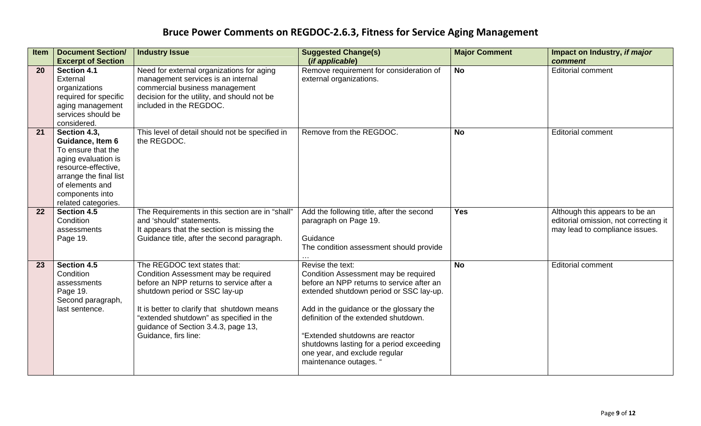| Item | <b>Document Section/</b><br><b>Excerpt of Section</b>                                                                                                                                       | <b>Industry Issue</b>                                                                                                                                                                                                                                                                                      | <b>Suggested Change(s)</b><br>(if applicable)                                                                                                                                                                                                                                                                                                                                 | <b>Major Comment</b> | Impact on Industry, if major<br>comment                                                                   |
|------|---------------------------------------------------------------------------------------------------------------------------------------------------------------------------------------------|------------------------------------------------------------------------------------------------------------------------------------------------------------------------------------------------------------------------------------------------------------------------------------------------------------|-------------------------------------------------------------------------------------------------------------------------------------------------------------------------------------------------------------------------------------------------------------------------------------------------------------------------------------------------------------------------------|----------------------|-----------------------------------------------------------------------------------------------------------|
| 20   | Section 4.1<br>External<br>organizations<br>required for specific<br>aging management<br>services should be<br>considered.                                                                  | Need for external organizations for aging<br>management services is an internal<br>commercial business management<br>decision for the utility, and should not be<br>included in the REGDOC.                                                                                                                | Remove requirement for consideration of<br>external organizations.                                                                                                                                                                                                                                                                                                            | <b>No</b>            | <b>Editorial comment</b>                                                                                  |
| 21   | Section 4.3,<br>Guidance, Item 6<br>To ensure that the<br>aging evaluation is<br>resource-effective,<br>arrange the final list<br>of elements and<br>components into<br>related categories. | This level of detail should not be specified in<br>the REGDOC.                                                                                                                                                                                                                                             | Remove from the REGDOC.                                                                                                                                                                                                                                                                                                                                                       | <b>No</b>            | <b>Editorial comment</b>                                                                                  |
| 22   | Section 4.5<br>Condition<br>assessments<br>Page 19.                                                                                                                                         | The Requirements in this section are in "shall"<br>and 'should" statements.<br>It appears that the section is missing the<br>Guidance title, after the second paragraph.                                                                                                                                   | Add the following title, after the second<br>paragraph on Page 19.<br>Guidance<br>The condition assessment should provide                                                                                                                                                                                                                                                     | <b>Yes</b>           | Although this appears to be an<br>editorial omission, not correcting it<br>may lead to compliance issues. |
| 23   | Section 4.5<br>Condition<br>assessments<br>Page 19.<br>Second paragraph,<br>last sentence.                                                                                                  | The REGDOC text states that:<br>Condition Assessment may be required<br>before an NPP returns to service after a<br>shutdown period or SSC lay-up<br>It is better to clarify that shutdown means<br>"extended shutdown" as specified in the<br>guidance of Section 3.4.3, page 13,<br>Guidance, firs line: | Revise the text:<br>Condition Assessment may be required<br>before an NPP returns to service after an<br>extended shutdown period or SSC lay-up.<br>Add in the guidance or the glossary the<br>definition of the extended shutdown.<br>"Extended shutdowns are reactor<br>shutdowns lasting for a period exceeding<br>one year, and exclude regular<br>maintenance outages. ' | <b>No</b>            | <b>Editorial comment</b>                                                                                  |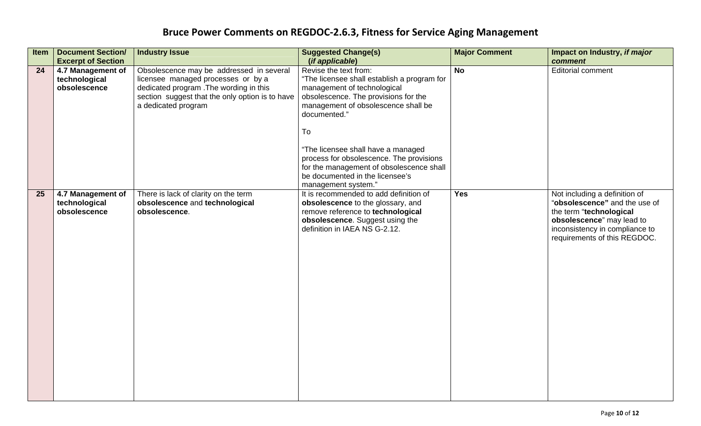| Item | <b>Document Section/</b><br><b>Excerpt of Section</b> | <b>Industry Issue</b>                                                                                                                                                                               | <b>Suggested Change(s)</b><br>(if applicable)                                                                                                                                                                                                                                                                                                                                                    | <b>Major Comment</b> | Impact on Industry, if major<br>comment                                                                                                                                                  |
|------|-------------------------------------------------------|-----------------------------------------------------------------------------------------------------------------------------------------------------------------------------------------------------|--------------------------------------------------------------------------------------------------------------------------------------------------------------------------------------------------------------------------------------------------------------------------------------------------------------------------------------------------------------------------------------------------|----------------------|------------------------------------------------------------------------------------------------------------------------------------------------------------------------------------------|
| 24   | 4.7 Management of<br>technological<br>obsolescence    | Obsolescence may be addressed in several<br>licensee managed processes or by a<br>dedicated program . The wording in this<br>section suggest that the only option is to have<br>a dedicated program | Revise the text from:<br>"The licensee shall establish a program for<br>management of technological<br>obsolescence. The provisions for the<br>management of obsolescence shall be<br>documented."<br>To<br>"The licensee shall have a managed<br>process for obsolescence. The provisions<br>for the management of obsolescence shall<br>be documented in the licensee's<br>management system." | $\overline{N}$       | <b>Editorial comment</b>                                                                                                                                                                 |
| 25   | 4.7 Management of<br>technological<br>obsolescence    | There is lack of clarity on the term<br>obsolescence and technological<br>obsolescence.                                                                                                             | It is recommended to add definition of<br>obsolescence to the glossary, and<br>remove reference to technological<br>obsolescence. Suggest using the<br>definition in IAEA NS G-2.12.                                                                                                                                                                                                             | <b>Yes</b>           | Not including a definition of<br>"obsolescence" and the use of<br>the term "technological<br>obsolescence" may lead to<br>inconsistency in compliance to<br>requirements of this REGDOC. |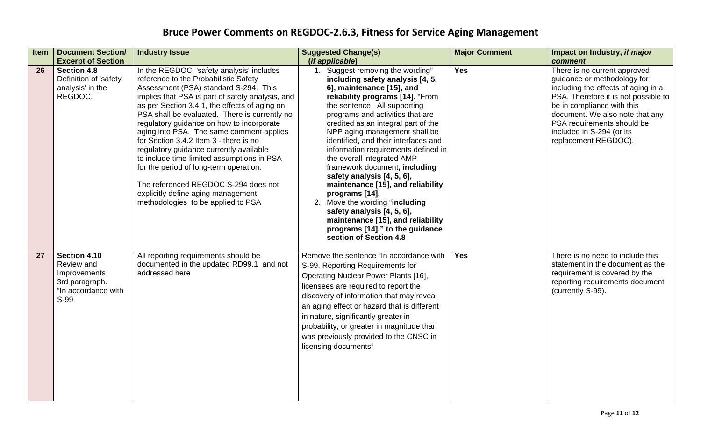| <b>Item</b> | <b>Document Section/</b><br><b>Excerpt of Section</b>                                       | <b>Industry Issue</b>                                                                                                                                                                                                                                                                                                                                                                                                                                                                                                                                                                                                                                                       | <b>Suggested Change(s)</b><br>(if applicable)                                                                                                                                                                                                                                                                                                                                                                                                                                                                                                                                                                                                                                         | <b>Major Comment</b> | Impact on Industry, if major<br>comment                                                                                                                                                                                                                                                        |
|-------------|---------------------------------------------------------------------------------------------|-----------------------------------------------------------------------------------------------------------------------------------------------------------------------------------------------------------------------------------------------------------------------------------------------------------------------------------------------------------------------------------------------------------------------------------------------------------------------------------------------------------------------------------------------------------------------------------------------------------------------------------------------------------------------------|---------------------------------------------------------------------------------------------------------------------------------------------------------------------------------------------------------------------------------------------------------------------------------------------------------------------------------------------------------------------------------------------------------------------------------------------------------------------------------------------------------------------------------------------------------------------------------------------------------------------------------------------------------------------------------------|----------------------|------------------------------------------------------------------------------------------------------------------------------------------------------------------------------------------------------------------------------------------------------------------------------------------------|
| 26          | <b>Section 4.8</b><br>Definition of 'safety<br>analysis' in the<br>REGDOC.                  | In the REGDOC, 'safety analysis' includes<br>reference to the Probabilistic Safety<br>Assessment (PSA) standard S-294. This<br>implies that PSA is part of safety analysis, and<br>as per Section 3.4.1, the effects of aging on<br>PSA shall be evaluated. There is currently no<br>regulatory guidance on how to incorporate<br>aging into PSA. The same comment applies<br>for Section 3.4.2 Item 3 - there is no<br>regulatory guidance currently available<br>to include time-limited assumptions in PSA<br>for the period of long-term operation.<br>The referenced REGDOC S-294 does not<br>explicitly define aging management<br>methodologies to be applied to PSA | 1. Suggest removing the wording"<br>including safety analysis [4, 5,<br>6], maintenance [15], and<br>reliability programs [14]. "From<br>the sentence All supporting<br>programs and activities that are<br>credited as an integral part of the<br>NPP aging management shall be<br>identified, and their interfaces and<br>information requirements defined in<br>the overall integrated AMP<br>framework document, including<br>safety analysis [4, 5, 6],<br>maintenance [15], and reliability<br>programs [14].<br>2. Move the wording "including<br>safety analysis [4, 5, 6],<br>maintenance [15], and reliability<br>programs [14]." to the guidance<br>section of Section 4.8 | <b>Yes</b>           | There is no current approved<br>guidance or methodology for<br>including the effects of aging in a<br>PSA. Therefore it is not possible to<br>be in compliance with this<br>document. We also note that any<br>PSA requirements should be<br>included in S-294 (or its<br>replacement REGDOC). |
| 27          | Section 4.10<br>Review and<br>Improvements<br>3rd paragraph.<br>"In accordance with<br>S-99 | All reporting requirements should be<br>documented in the updated RD99.1 and not<br>addressed here                                                                                                                                                                                                                                                                                                                                                                                                                                                                                                                                                                          | Remove the sentence "In accordance with<br>S-99, Reporting Requirements for<br>Operating Nuclear Power Plants [16],<br>licensees are required to report the<br>discovery of information that may reveal<br>an aging effect or hazard that is different<br>in nature, significantly greater in<br>probability, or greater in magnitude than<br>was previously provided to the CNSC in<br>licensing documents"                                                                                                                                                                                                                                                                          | <b>Yes</b>           | There is no need to include this<br>statement in the document as the<br>requirement is covered by the<br>reporting requirements document<br>(currently S-99).                                                                                                                                  |